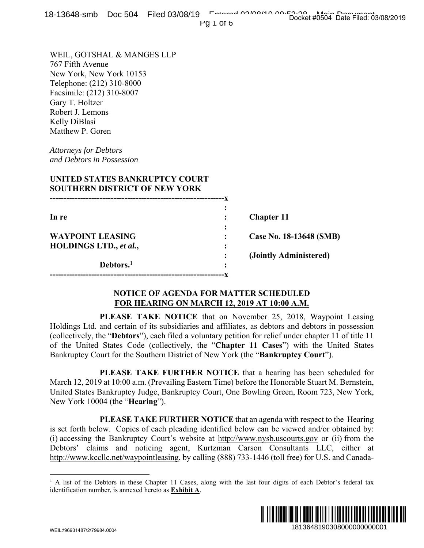|  | 18-13648-smb Doc 504 Filed 03/08/19 Fetheral Orionia on Focal theold Data Filed 03 |  |                                     |
|--|------------------------------------------------------------------------------------|--|-------------------------------------|
|  |                                                                                    |  | Docket #0504 Date Filed: 03/08/2019 |
|  |                                                                                    |  |                                     |

| 0-19040-91110 DOC 904 THEO 09/00/19                                                                                                                                                                                                                                                                                                                     | $PQI$ of $6$                                                                                | Docket #0504 Date Filed: 03/08/2019                                                                                                                                                                                                                                                                                                                                                                                                                                                                                                                                                                                                           |
|---------------------------------------------------------------------------------------------------------------------------------------------------------------------------------------------------------------------------------------------------------------------------------------------------------------------------------------------------------|---------------------------------------------------------------------------------------------|-----------------------------------------------------------------------------------------------------------------------------------------------------------------------------------------------------------------------------------------------------------------------------------------------------------------------------------------------------------------------------------------------------------------------------------------------------------------------------------------------------------------------------------------------------------------------------------------------------------------------------------------------|
| WEIL, GOTSHAL & MANGES LLP<br>767 Fifth Avenue<br>New York, New York 10153<br>Telephone: (212) 310-8000<br>Facsimile: (212) 310-8007<br>Gary T. Holtzer<br>Robert J. Lemons<br>Kelly DiBlasi<br>Matthew P. Goren<br><b>Attorneys for Debtors</b><br>and Debtors in Possession<br>UNITED STATES BANKRUPTCY COURT<br><b>SOUTHERN DISTRICT OF NEW YORK</b> |                                                                                             |                                                                                                                                                                                                                                                                                                                                                                                                                                                                                                                                                                                                                                               |
|                                                                                                                                                                                                                                                                                                                                                         |                                                                                             |                                                                                                                                                                                                                                                                                                                                                                                                                                                                                                                                                                                                                                               |
| In re                                                                                                                                                                                                                                                                                                                                                   |                                                                                             | <b>Chapter 11</b>                                                                                                                                                                                                                                                                                                                                                                                                                                                                                                                                                                                                                             |
| <b>WAYPOINT LEASING</b>                                                                                                                                                                                                                                                                                                                                 |                                                                                             | Case No. 18-13648 (SMB)                                                                                                                                                                                                                                                                                                                                                                                                                                                                                                                                                                                                                       |
| <b>HOLDINGS LTD., et al.,</b><br>Debtors. <sup>1</sup>                                                                                                                                                                                                                                                                                                  |                                                                                             | (Jointly Administered)                                                                                                                                                                                                                                                                                                                                                                                                                                                                                                                                                                                                                        |
|                                                                                                                                                                                                                                                                                                                                                         | <b>NOTICE OF AGENDA FOR MATTER SCHEDULED</b><br>FOR HEARING ON MARCH 12, 2019 AT 10:00 A.M. |                                                                                                                                                                                                                                                                                                                                                                                                                                                                                                                                                                                                                                               |
| Bankruptcy Court for the Southern District of New York (the " <b>Bankruptcy Court</b> ").                                                                                                                                                                                                                                                               |                                                                                             | PLEASE TAKE NOTICE that on November 25, 2018, Waypoint Leasing<br>Holdings Ltd. and certain of its subsidiaries and affiliates, as debtors and debtors in possession<br>(collectively, the "Debtors"), each filed a voluntary petition for relief under chapter 11 of title 11<br>of the United States Code (collectively, the "Chapter 11 Cases") with the United States<br>PLEASE TAKE FURTHER NOTICE that a hearing has been scheduled for<br>March 12, 2019 at 10:00 a.m. (Prevailing Eastern Time) before the Honorable Stuart M. Bernstein,<br>United States Bankruptcy Judge, Bankruptcy Court, One Bowling Green, Room 723, New York, |
| New York 10004 (the " <b>Hearing</b> ").                                                                                                                                                                                                                                                                                                                |                                                                                             | <b>PLEASE TAKE FURTHER NOTICE</b> that an agenda with respect to the Hearing                                                                                                                                                                                                                                                                                                                                                                                                                                                                                                                                                                  |
|                                                                                                                                                                                                                                                                                                                                                         |                                                                                             | is set forth below. Copies of each pleading identified below can be viewed and/or obtained by:<br>(i) accessing the Bankruptcy Court's website at http://www.nysb.uscourts.gov or (ii) from the<br>Debtors' claims and noticing agent, Kurtzman Carson Consultants LLC, either at<br>http://www.kccllc.net/waypointleasing, by calling (888) 733-1446 (toll free) for U.S. and Canada-                                                                                                                                                                                                                                                        |
| identification number, is annexed hereto as <b>Exhibit A</b> .                                                                                                                                                                                                                                                                                          |                                                                                             | <sup>1</sup> A list of the Debtors in these Chapter 11 Cases, along with the last four digits of each Debtor's federal tax                                                                                                                                                                                                                                                                                                                                                                                                                                                                                                                    |
| \N/FII \\QGQ31.187\?\7QQ8.1 NNN                                                                                                                                                                                                                                                                                                                         |                                                                                             | 1813648190308000000000001                                                                                                                                                                                                                                                                                                                                                                                                                                                                                                                                                                                                                     |

## **NOTICE OF AGENDA FOR MATTER SCHEDULED FOR HEARING ON MARCH 12, 2019 AT 10:00 A.M.**

<sup>&</sup>lt;sup>1</sup> A list of the Debtors in these Chapter 11 Cases, along with the last four digits of each Debtor's federal tax identification number, is annexed hereto as **Exhibit A**.

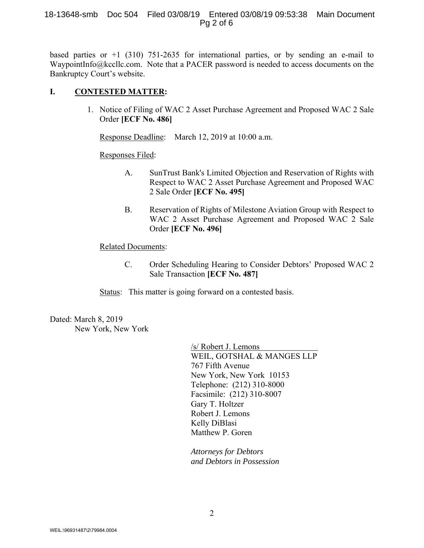#### 18-13648-smb Doc 504 Filed 03/08/19 Entered 03/08/19 09:53:38 Main Document Pg 2 of 6

based parties or  $+1$  (310) 751-2635 for international parties, or by sending an e-mail to WaypointInfo@kccllc.com. Note that a PACER password is needed to access documents on the Bankruptcy Court's website.

### **I. CONTESTED MATTER:**

1. Notice of Filing of WAC 2 Asset Purchase Agreement and Proposed WAC 2 Sale Order **[ECF No. 486]**

Response Deadline: March 12, 2019 at 10:00 a.m.

Responses Filed:

- A. SunTrust Bank's Limited Objection and Reservation of Rights with Respect to WAC 2 Asset Purchase Agreement and Proposed WAC 2 Sale Order **[ECF No. 495]**
- B. Reservation of Rights of Milestone Aviation Group with Respect to WAC 2 Asset Purchase Agreement and Proposed WAC 2 Sale Order **[ECF No. 496]**

#### Related Documents:

C. Order Scheduling Hearing to Consider Debtors' Proposed WAC 2 Sale Transaction **[ECF No. 487]**

**Status:** This matter is going forward on a contested basis.

Dated: March 8, 2019 New York, New York

> /s/ Robert J. Lemons WEIL, GOTSHAL & MANGES LLP 767 Fifth Avenue New York, New York 10153 Telephone: (212) 310-8000 Facsimile: (212) 310-8007 Gary T. Holtzer Robert J. Lemons Kelly DiBlasi Matthew P. Goren

*Attorneys for Debtors and Debtors in Possession*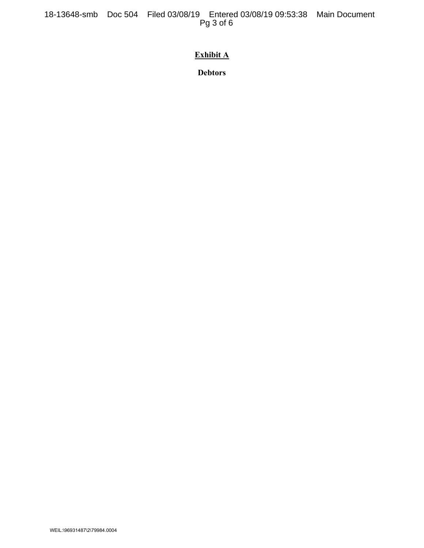18-13648-smb Doc 504 Filed 03/08/19 Entered 03/08/19 09:53:38 Main Document Pg 3 of 6

# **Exhibit A**

**Debtors**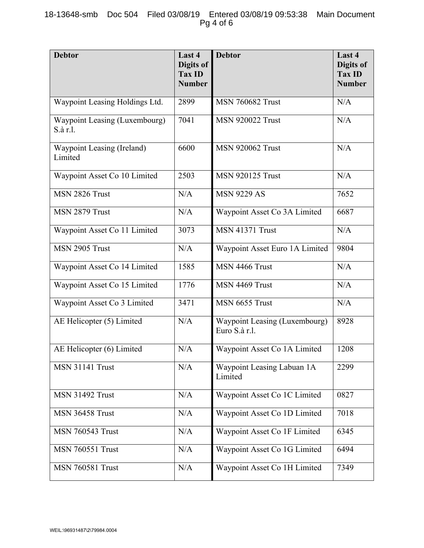| <b>Debtor</b>                             | Last 4<br>Digits of<br><b>Tax ID</b><br><b>Number</b> | <b>Debtor</b>                                  | Last 4<br>Digits of<br><b>Tax ID</b><br><b>Number</b> |
|-------------------------------------------|-------------------------------------------------------|------------------------------------------------|-------------------------------------------------------|
| Waypoint Leasing Holdings Ltd.            | 2899                                                  | <b>MSN 760682 Trust</b>                        | N/A                                                   |
| Waypoint Leasing (Luxembourg)<br>S.à r.l. | 7041                                                  | <b>MSN 920022 Trust</b>                        | N/A                                                   |
| Waypoint Leasing (Ireland)<br>Limited     | 6600                                                  | <b>MSN 920062 Trust</b>                        | N/A                                                   |
| Waypoint Asset Co 10 Limited              | 2503                                                  | <b>MSN 920125 Trust</b>                        | N/A                                                   |
| MSN 2826 Trust                            | N/A                                                   | <b>MSN 9229 AS</b>                             | 7652                                                  |
| MSN 2879 Trust                            | N/A                                                   | Waypoint Asset Co 3A Limited                   | 6687                                                  |
| Waypoint Asset Co 11 Limited              | 3073                                                  | <b>MSN 41371 Trust</b>                         | N/A                                                   |
| MSN 2905 Trust                            | N/A                                                   | Waypoint Asset Euro 1A Limited                 | 9804                                                  |
| Waypoint Asset Co 14 Limited              | 1585                                                  | MSN 4466 Trust                                 | N/A                                                   |
| Waypoint Asset Co 15 Limited              | 1776                                                  | MSN 4469 Trust                                 | N/A                                                   |
| Waypoint Asset Co 3 Limited               | 3471                                                  | MSN 6655 Trust                                 | N/A                                                   |
| AE Helicopter (5) Limited                 | N/A                                                   | Waypoint Leasing (Luxembourg)<br>Euro S.à r.l. | 8928                                                  |
| AE Helicopter (6) Limited                 | N/A                                                   | Waypoint Asset Co 1A Limited                   | 1208                                                  |
| <b>MSN 31141 Trust</b>                    | N/A                                                   | Waypoint Leasing Labuan 1A<br>Limited          | 2299                                                  |
| <b>MSN 31492 Trust</b>                    | N/A                                                   | Waypoint Asset Co 1C Limited                   | 0827                                                  |
| <b>MSN 36458 Trust</b>                    | N/A                                                   | Waypoint Asset Co 1D Limited                   | 7018                                                  |
| <b>MSN 760543 Trust</b>                   | N/A                                                   | Waypoint Asset Co 1F Limited                   | 6345                                                  |
| <b>MSN 760551 Trust</b>                   | N/A                                                   | Waypoint Asset Co 1G Limited                   | 6494                                                  |
| <b>MSN 760581 Trust</b>                   | N/A                                                   | Waypoint Asset Co 1H Limited                   | 7349                                                  |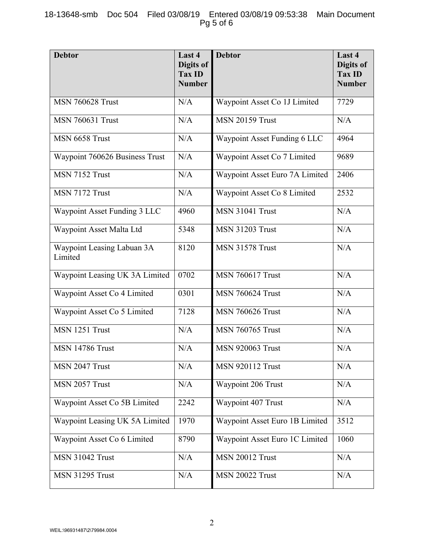| <b>Debtor</b>                         | Last 4<br>Digits of<br><b>Tax ID</b><br><b>Number</b> | <b>Debtor</b>                  | Last 4<br>Digits of<br><b>Tax ID</b><br><b>Number</b> |
|---------------------------------------|-------------------------------------------------------|--------------------------------|-------------------------------------------------------|
| <b>MSN 760628 Trust</b>               | N/A                                                   | Waypoint Asset Co 1J Limited   | 7729                                                  |
| <b>MSN 760631 Trust</b>               | N/A                                                   | <b>MSN 20159 Trust</b>         | N/A                                                   |
| MSN 6658 Trust                        | N/A                                                   | Waypoint Asset Funding 6 LLC   | 4964                                                  |
| Waypoint 760626 Business Trust        | N/A                                                   | Waypoint Asset Co 7 Limited    | 9689                                                  |
| MSN 7152 Trust                        | N/A                                                   | Waypoint Asset Euro 7A Limited | 2406                                                  |
| MSN 7172 Trust                        | N/A                                                   | Waypoint Asset Co 8 Limited    | 2532                                                  |
| Waypoint Asset Funding 3 LLC          | 4960                                                  | <b>MSN 31041 Trust</b>         | N/A                                                   |
| Waypoint Asset Malta Ltd              | 5348                                                  | <b>MSN 31203 Trust</b>         | N/A                                                   |
| Waypoint Leasing Labuan 3A<br>Limited | 8120                                                  | <b>MSN 31578 Trust</b>         | N/A                                                   |
| Waypoint Leasing UK 3A Limited        | 0702                                                  | <b>MSN 760617 Trust</b>        | N/A                                                   |
| Waypoint Asset Co 4 Limited           | 0301                                                  | <b>MSN 760624 Trust</b>        | N/A                                                   |
| Waypoint Asset Co 5 Limited           | 7128                                                  | <b>MSN 760626 Trust</b>        | N/A                                                   |
| MSN 1251 Trust                        | N/A                                                   | <b>MSN 760765 Trust</b>        | N/A                                                   |
| <b>MSN 14786 Trust</b>                | N/A                                                   | <b>MSN 920063 Trust</b>        | N/A                                                   |
| MSN 2047 Trust                        | N/A                                                   | <b>MSN 920112 Trust</b>        | N/A                                                   |
| MSN 2057 Trust                        | N/A                                                   | Waypoint 206 Trust             | N/A                                                   |
| Waypoint Asset Co 5B Limited          | 2242                                                  | Waypoint 407 Trust             | N/A                                                   |
| Waypoint Leasing UK 5A Limited        | 1970                                                  | Waypoint Asset Euro 1B Limited | 3512                                                  |
| Waypoint Asset Co 6 Limited           | 8790                                                  | Waypoint Asset Euro 1C Limited | 1060                                                  |
| <b>MSN 31042 Trust</b>                | N/A                                                   | <b>MSN 20012 Trust</b>         | N/A                                                   |
| <b>MSN 31295 Trust</b>                | N/A                                                   | <b>MSN 20022 Trust</b>         | N/A                                                   |